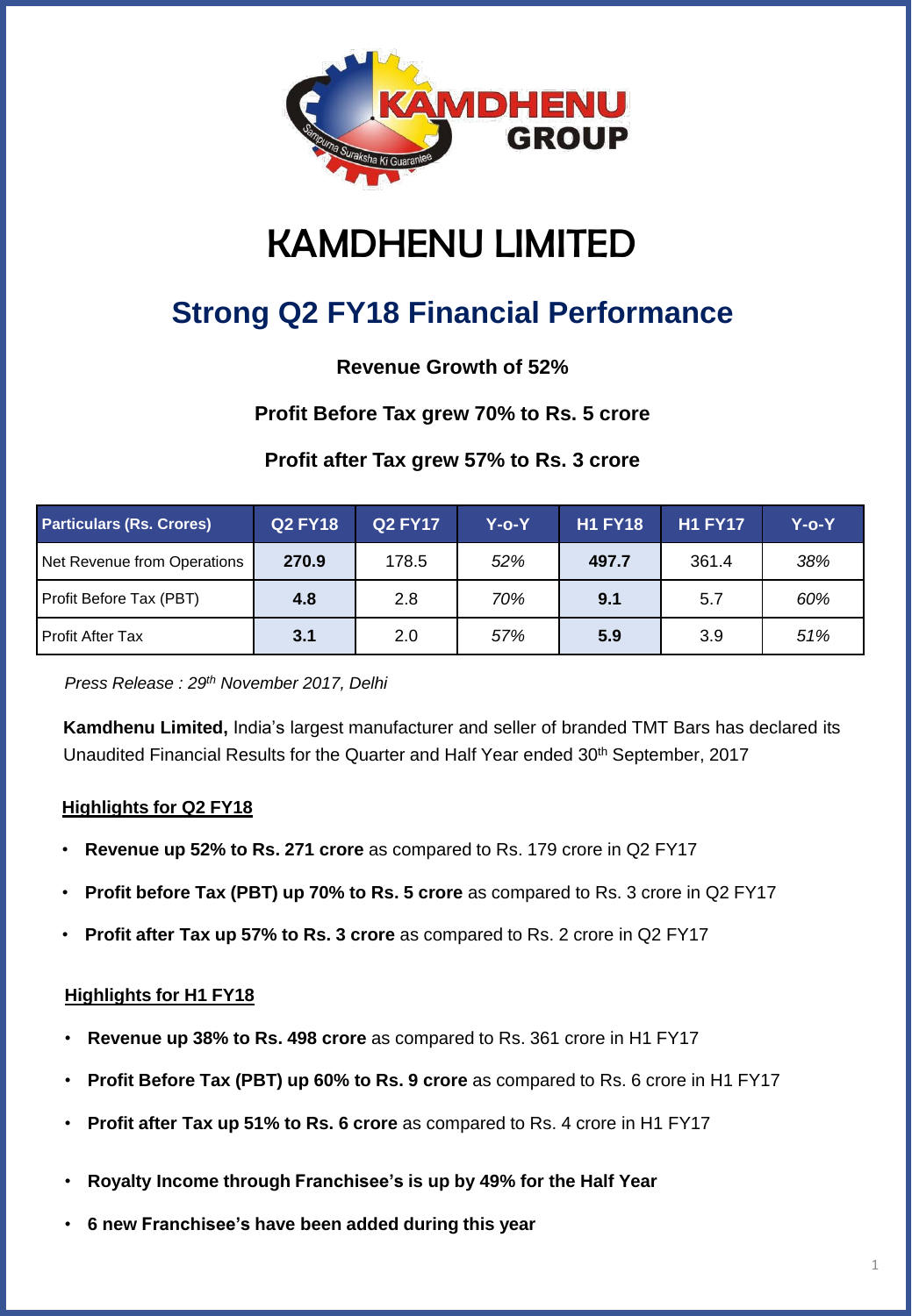

# KAMDHENU LIMITED

# **Strong Q2 FY18 Financial Performance**

**Revenue Growth of 52%**

## **Profit Before Tax grew 70% to Rs. 5 crore**

## **Profit after Tax grew 57% to Rs. 3 crore**

| <b>Particulars (Rs. Crores)</b> | <b>Q2 FY18</b> | <b>Q2 FY17</b> | Y-o-Y | <b>H1 FY18</b> | <b>H1 FY17</b> | Y-o-Y |
|---------------------------------|----------------|----------------|-------|----------------|----------------|-------|
| Net Revenue from Operations     | 270.9          | 178.5          | 52%   | 497.7          | 361.4          | 38%   |
| Profit Before Tax (PBT)         | 4.8            | 2.8            | 70%   | 9.1            | 5.7            | 60%   |
| Profit After Tax                | 3.1            | 2.0            | 57%   | 5.9            | 3.9            | 51%   |

*Press Release : 29th November 2017, Delhi*

**Kamdhenu Limited,** India's largest manufacturer and seller of branded TMT Bars has declared its Unaudited Financial Results for the Quarter and Half Year ended 30<sup>th</sup> September, 2017

#### **Highlights for Q2 FY18**

- **Revenue up 52% to Rs. 271 crore** as compared to Rs. 179 crore in Q2 FY17
- **Profit before Tax (PBT) up 70% to Rs. 5 crore** as compared to Rs. 3 crore in Q2 FY17
- **Profit after Tax up 57% to Rs. 3 crore** as compared to Rs. 2 crore in Q2 FY17

#### **Highlights for H1 FY18**

- **Revenue up 38% to Rs. 498 crore** as compared to Rs. 361 crore in H1 FY17
- **Profit Before Tax (PBT) up 60% to Rs. 9 crore** as compared to Rs. 6 crore in H1 FY17
- **Profit after Tax up 51% to Rs. 6 crore** as compared to Rs. 4 crore in H1 FY17
- **Royalty Income through Franchisee's is up by 49% for the Half Year**
- **6 new Franchisee's have been added during this year**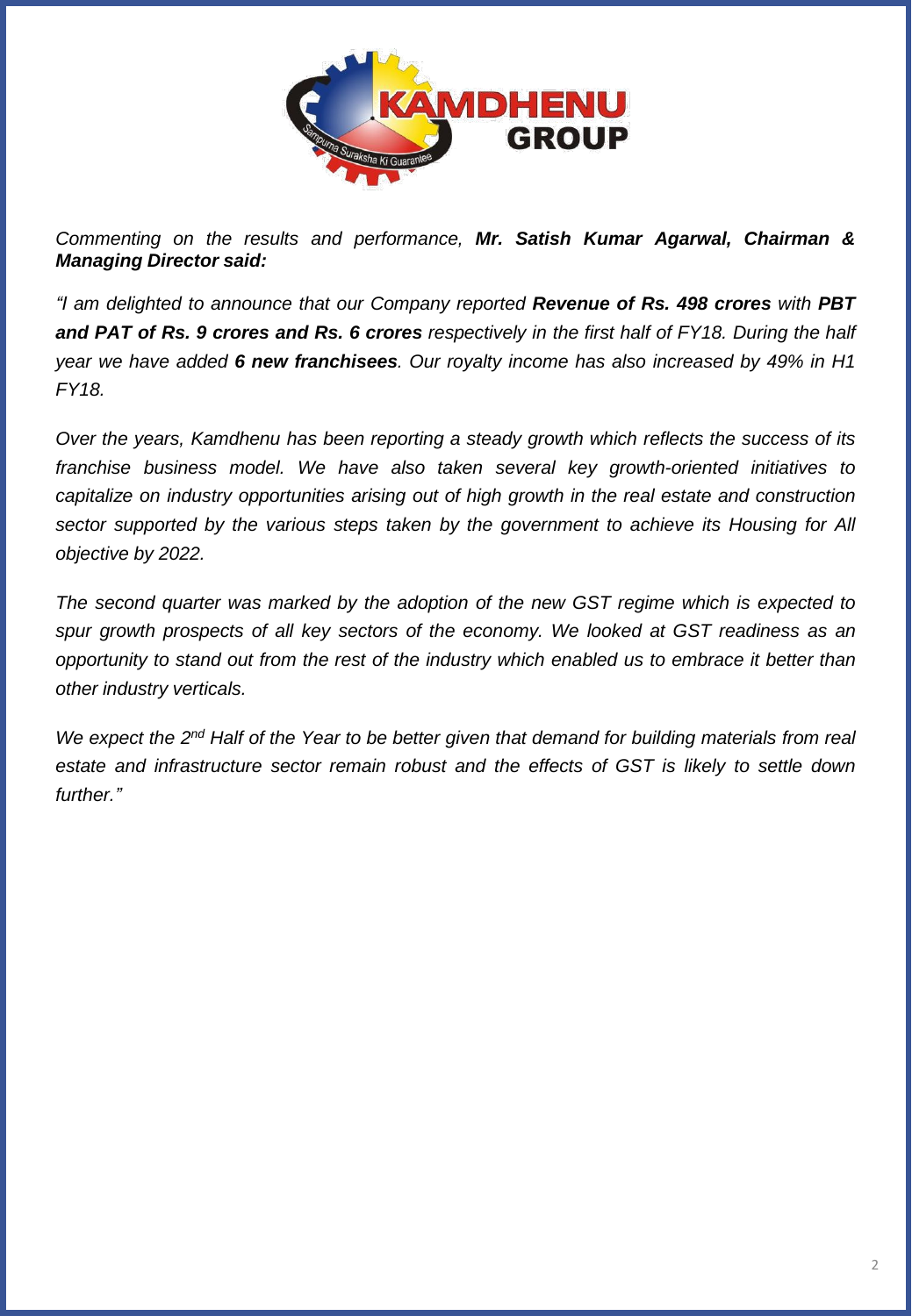

*Commenting on the results and performance, Mr. Satish Kumar Agarwal, Chairman & Managing Director said:*

*"I am delighted to announce that our Company reported Revenue of Rs. 498 crores with PBT* and PAT of Rs. 9 crores and Rs. 6 crores respectively in the first half of FY18. During the half *year we have added 6 new franchisees. Our royalty income has also increased by 49% in H1 FY18.*

*Over the years, Kamdhenu has been reporting a steady growth which reflects the success of its franchise business model. We have also taken several key growth-oriented initiatives to capitalize on industry opportunities arising out of high growth in the real estate and construction sector supported by the various steps taken by the government to achieve its Housing for All objective by 2022.*

*The second quarter was marked by the adoption of the new GST regime which is expected to spur growth prospects of all key sectors of the economy. We looked at GST readiness as an opportunity to stand out from the rest of the industry which enabled us to embrace it better than other industry verticals.*

We expect the 2<sup>nd</sup> Half of the Year to be better given that demand for building materials from real *estate and infrastructure sector remain robust and the effects of GST is likely to settle down further."*